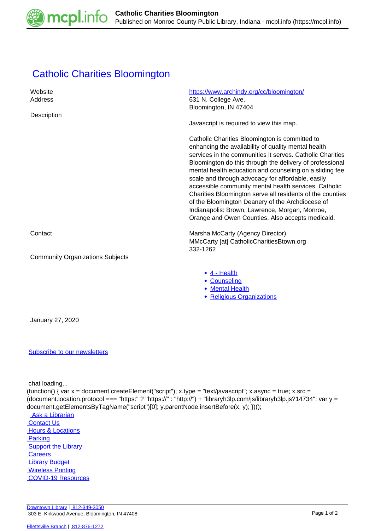

## **[Catholic Charities Bloomington](https://mcpl.info/commorg/catholic-charities-bloomington)**

| Website<br>Address                                                                                                                                                                                                                                                                                                                                              | https://www.archindy.org/cc/bloomington/<br>631 N. College Ave.<br>Bloomington, IN 47404                                                                                                                                                                                                                                                                                                                                                                                                                                                                                                                                       |
|-----------------------------------------------------------------------------------------------------------------------------------------------------------------------------------------------------------------------------------------------------------------------------------------------------------------------------------------------------------------|--------------------------------------------------------------------------------------------------------------------------------------------------------------------------------------------------------------------------------------------------------------------------------------------------------------------------------------------------------------------------------------------------------------------------------------------------------------------------------------------------------------------------------------------------------------------------------------------------------------------------------|
| Description                                                                                                                                                                                                                                                                                                                                                     | Javascript is required to view this map.                                                                                                                                                                                                                                                                                                                                                                                                                                                                                                                                                                                       |
|                                                                                                                                                                                                                                                                                                                                                                 | Catholic Charities Bloomington is committed to<br>enhancing the availability of quality mental health<br>services in the communities it serves. Catholic Charities<br>Bloomington do this through the delivery of professional<br>mental health education and counseling on a sliding fee<br>scale and through advocacy for affordable, easily<br>accessible community mental health services. Catholic<br>Charities Bloomington serve all residents of the counties<br>of the Bloomington Deanery of the Archdiocese of<br>Indianapolis: Brown, Lawrence, Morgan, Monroe,<br>Orange and Owen Counties. Also accepts medicaid. |
| Contact                                                                                                                                                                                                                                                                                                                                                         | Marsha McCarty (Agency Director)<br>MMcCarty [at] CatholicCharitiesBtown.org<br>332-1262                                                                                                                                                                                                                                                                                                                                                                                                                                                                                                                                       |
| <b>Community Organizations Subjects</b>                                                                                                                                                                                                                                                                                                                         |                                                                                                                                                                                                                                                                                                                                                                                                                                                                                                                                                                                                                                |
|                                                                                                                                                                                                                                                                                                                                                                 | $\bullet$ 4 - Health<br>• Counseling<br>• Mental Health<br>• Religious Organizations                                                                                                                                                                                                                                                                                                                                                                                                                                                                                                                                           |
| January 27, 2020                                                                                                                                                                                                                                                                                                                                                |                                                                                                                                                                                                                                                                                                                                                                                                                                                                                                                                                                                                                                |
| <b>Subscribe to our newsletters</b>                                                                                                                                                                                                                                                                                                                             |                                                                                                                                                                                                                                                                                                                                                                                                                                                                                                                                                                                                                                |
| chat loading<br>(function() { var x = document.createElement("script"); x.type = "text/javascript"; x.async = true; x.src =<br>(document.location.protocol === "https:" ? "https://" : "http://") + "libraryh3lp.com/js/libraryh3lp.js?14734"; var y =<br>document.getElementsByTagName("script")[0]; y.parentNode.insertBefore(x, y); })();<br>Ack of throrion |                                                                                                                                                                                                                                                                                                                                                                                                                                                                                                                                                                                                                                |

 [Ask a Librarian](https://mcpl.info/askus) **Contact Us Hours & Locations Parking Support the Library Careers**  [Library Budget](https://budgetnotices.in.gov/unit_lookup.aspx?ct=53000)  [Wireless Printing](https://tbs.eprintit.com/portal/#/ppl/upload/monroecpl)  [COVID-19 Resources](https://mcpl.info/geninfo/local-covid-resources)